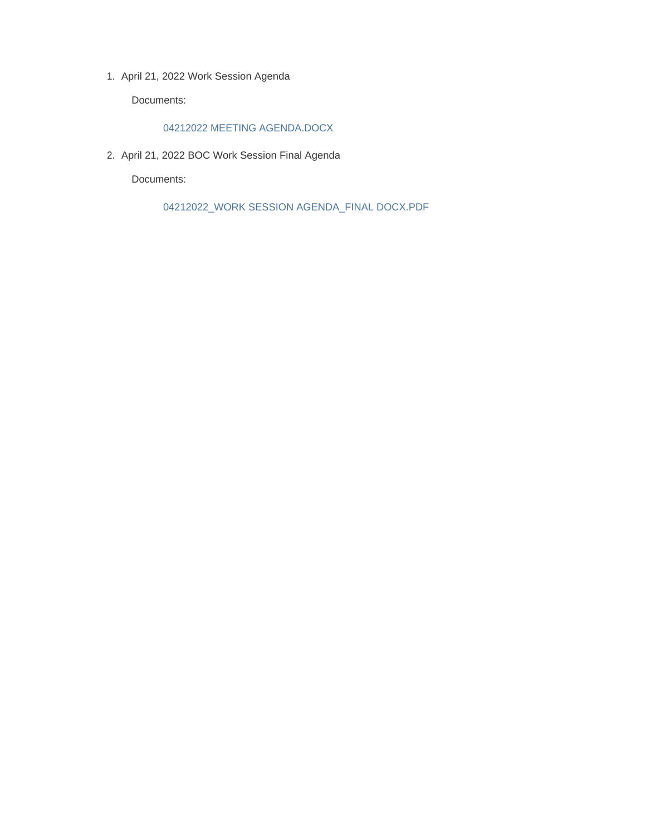1. April 21, 2022 Work Session Agenda

Documents:

### 04212022 MEETING AGENDA.DOCX

2. April 21, 2022 BOC Work Session Final Agenda

Documents:

04212022\_WORK SESSION AGENDA\_FINAL DOCX.PDF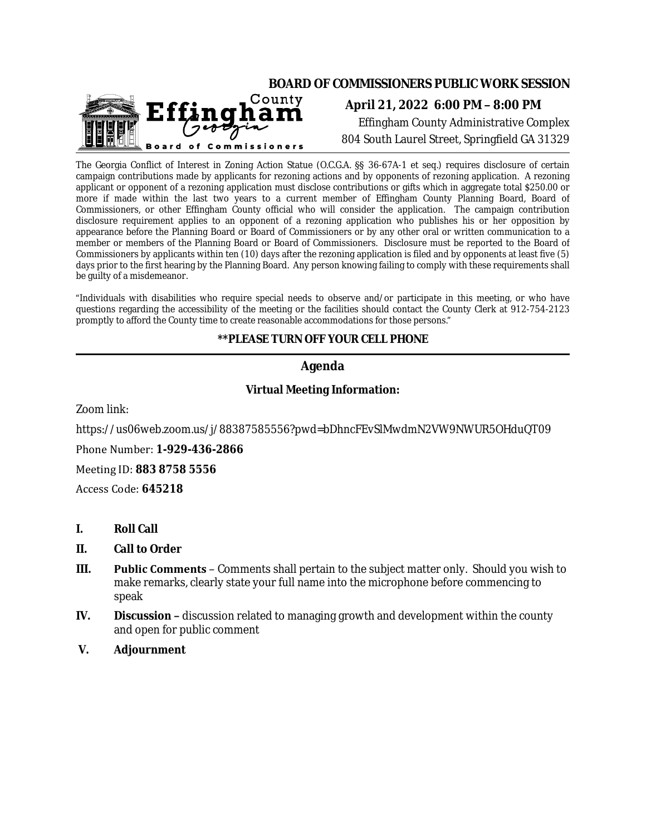

The Georgia Conflict of Interest in Zoning Action Statue (O.C.G.A. §§ 36-67A-1 et seq.) requires disclosure of certain campaign contributions made by applicants for rezoning actions and by opponents of rezoning application. A rezoning applicant or opponent of a rezoning application must disclose contributions or gifts which in aggregate total \$250.00 or more if made within the last two years to a current member of Effingham County Planning Board, Board of Commissioners, or other Effingham County official who will consider the application. The campaign contribution disclosure requirement applies to an opponent of a rezoning application who publishes his or her opposition by appearance before the Planning Board or Board of Commissioners or by any other oral or written communication to a member or members of the Planning Board or Board of Commissioners. Disclosure must be reported to the Board of Commissioners by applicants within ten (10) days after the rezoning application is filed and by opponents at least five (5) days prior to the first hearing by the Planning Board. Any person knowing failing to comply with these requirements shall be guilty of a misdemeanor.

"Individuals with disabilities who require special needs to observe and/or participate in this meeting, or who have questions regarding the accessibility of the meeting or the facilities should contact the County Clerk at 912-754-2123 promptly to afford the County time to create reasonable accommodations for those persons."

## **\*\*PLEASE TURN OFF YOUR CELL PHONE**

## **Agenda**

### **Virtual Meeting Information:**

Zoom link:

https://us06web.zoom.us/j/88387585556?pwd=bDhncFEvSlMwdmN2VW9NWUR5OHduQT09

Phone Number: **1-929-436-2866**

Meeting ID: **883 8758 5556**

Access Code: **645218**

- **I. Roll Call**
- **II. Call to Order**
- **III. Public Comments**  Comments shall pertain to the subject matter only. Should you wish to make remarks, clearly state your full name into the microphone before commencing to speak
- **IV. Discussion –** discussion related to managing growth and development within the county and open for public comment
- **V. Adjournment**